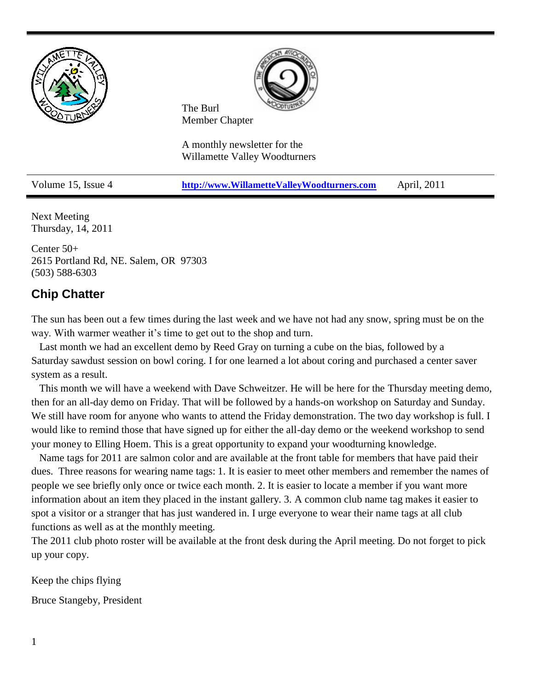



The Burl Member Chapter

A monthly newsletter for the Willamette Valley Woodturners

Volume 15, Issue 4 **[http://www.WillametteValleyWoodturners.com](http://www.willamettevalleywoodturners.com/)** April, 2011

Next Meeting Thursday, 14, 2011

Center 50+ 2615 Portland Rd, NE. Salem, OR 97303 (503) 588-6303

# **Chip Chatter**

The sun has been out a few times during the last week and we have not had any snow, spring must be on the way. With warmer weather it's time to get out to the shop and turn.

 Last month we had an excellent demo by Reed Gray on turning a cube on the bias, followed by a Saturday sawdust session on bowl coring. I for one learned a lot about coring and purchased a center saver system as a result.

 This month we will have a weekend with Dave Schweitzer. He will be here for the Thursday meeting demo, then for an all-day demo on Friday. That will be followed by a hands-on workshop on Saturday and Sunday. We still have room for anyone who wants to attend the Friday demonstration. The two day workshop is full. I would like to remind those that have signed up for either the all-day demo or the weekend workshop to send your money to Elling Hoem. This is a great opportunity to expand your woodturning knowledge.

 Name tags for 2011 are salmon color and are available at the front table for members that have paid their dues. Three reasons for wearing name tags: 1. It is easier to meet other members and remember the names of people we see briefly only once or twice each month. 2. It is easier to locate a member if you want more information about an item they placed in the instant gallery. 3. A common club name tag makes it easier to spot a visitor or a stranger that has just wandered in. I urge everyone to wear their name tags at all club functions as well as at the monthly meeting.

The 2011 club photo roster will be available at the front desk during the April meeting. Do not forget to pick up your copy.

Keep the chips flying

Bruce Stangeby, President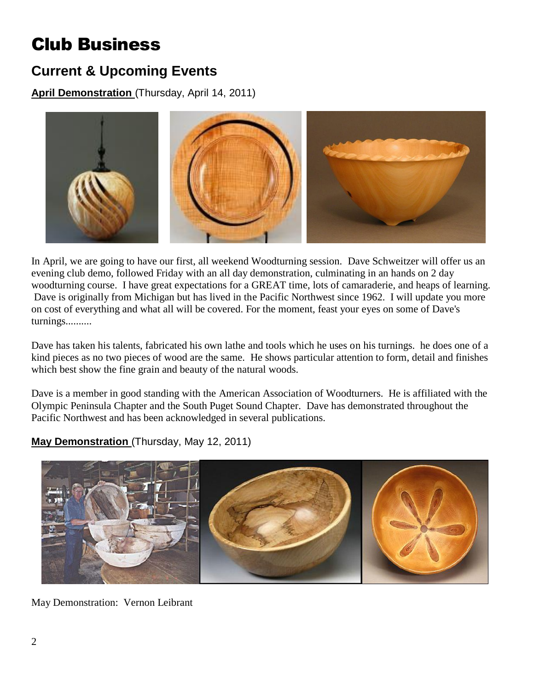# Club Business

# **Current & Upcoming Events**

**April Demonstration** (Thursday, April 14, 2011)



In April, we are going to have our first, all weekend Woodturning session. Dave Schweitzer will offer us an evening club demo, followed Friday with an all day demonstration, culminating in an hands on 2 day woodturning course. I have great expectations for a GREAT time, lots of camaraderie, and heaps of learning. Dave is originally from Michigan but has lived in the Pacific Northwest since 1962. I will update you more on cost of everything and what all will be covered. For the moment, feast your eyes on some of Dave's turnings..........

Dave has taken his talents, fabricated his own lathe and tools which he uses on his turnings. he does one of a kind pieces as no two pieces of wood are the same. He shows particular attention to form, detail and finishes which best show the fine grain and beauty of the natural woods.

Dave is a member in good standing with the American Association of Woodturners. He is affiliated with the Olympic Peninsula Chapter and the South Puget Sound Chapter. Dave has demonstrated throughout the Pacific Northwest and has been acknowledged in several publications.

**May Demonstration** (Thursday, May 12, 2011)



May Demonstration: Vernon Leibrant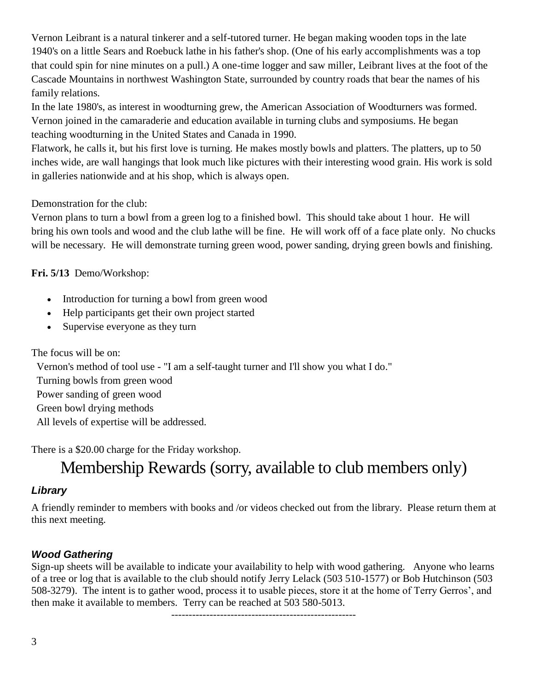Vernon Leibrant is a natural tinkerer and a self-tutored turner. He began making wooden tops in the late 1940's on a little Sears and Roebuck lathe in his father's shop. (One of his early accomplishments was a top that could spin for nine minutes on a pull.) A one-time logger and saw miller, Leibrant lives at the foot of the Cascade Mountains in northwest Washington State, surrounded by country roads that bear the names of his family relations.

In the late 1980's, as interest in woodturning grew, the American Association of Woodturners was formed. Vernon joined in the camaraderie and education available in turning clubs and symposiums. He began teaching woodturning in the United States and Canada in 1990.

Flatwork, he calls it, but his first love is turning. He makes mostly bowls and platters. The platters, up to 50 inches wide, are wall hangings that look much like pictures with their interesting wood grain. His work is sold in galleries nationwide and at his shop, which is always open.

## Demonstration for the club:

Vernon plans to turn a bowl from a green log to a finished bowl. This should take about 1 hour. He will bring his own tools and wood and the club lathe will be fine. He will work off of a face plate only. No chucks will be necessary. He will demonstrate turning green wood, power sanding, drying green bowls and finishing.

**Fri. 5/13** Demo/Workshop:

- Introduction for turning a bowl from green wood
- Help participants get their own project started
- Supervise everyone as they turn

#### The focus will be on:

Vernon's method of tool use - "I am a self-taught turner and I'll show you what I do." Turning bowls from green wood Power sanding of green wood

Green bowl drying methods

All levels of expertise will be addressed.

There is a \$20.00 charge for the Friday workshop.

# Membership Rewards (sorry, available to club members only)

## *Library*

A friendly reminder to members with books and /or videos checked out from the library. Please return them at this next meeting.

## *Wood Gathering*

Sign-up sheets will be available to indicate your availability to help with wood gathering. Anyone who learns of a tree or log that is available to the club should notify Jerry Lelack (503 510-1577) or Bob Hutchinson (503 508-3279). The intent is to gather wood, process it to usable pieces, store it at the home of Terry Gerros', and then make it available to members. Terry can be reached at 503 580-5013.

-----------------------------------------------------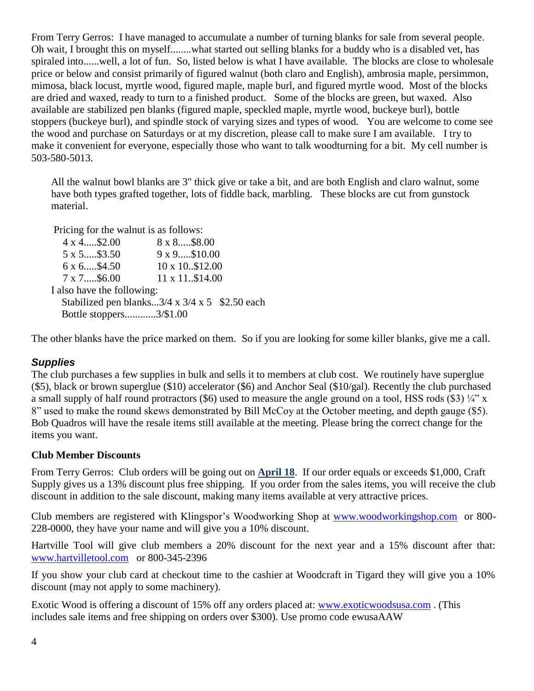From Terry Gerros: I have managed to accumulate a number of turning blanks for sale from several people. Oh wait, I brought this on myself........what started out selling blanks for a buddy who is a disabled vet, has spiraled into......well, a lot of fun. So, listed below is what I have available. The blocks are close to wholesale price or below and consist primarily of figured walnut (both claro and English), ambrosia maple, persimmon, mimosa, black locust, myrtle wood, figured maple, maple burl, and figured myrtle wood. Most of the blocks are dried and waxed, ready to turn to a finished product. Some of the blocks are green, but waxed. Also available are stabilized pen blanks (figured maple, speckled maple, myrtle wood, buckeye burl), bottle stoppers (buckeye burl), and spindle stock of varying sizes and types of wood. You are welcome to come see the wood and purchase on Saturdays or at my discretion, please call to make sure I am available. I try to make it convenient for everyone, especially those who want to talk woodturning for a bit. My cell number is 503-580-5013.

All the walnut bowl blanks are 3" thick give or take a bit, and are both English and claro walnut, some have both types grafted together, lots of fiddle back, marbling. These blocks are cut from gunstock material.

Pricing for the walnut is as follows:

 4 x 4.....\$2.00 8 x 8.....\$8.00 5 x 5.....\$3.50 9 x 9.....\$10.00 6 x 6.....\$4.50 10 x 10..\$12.00 7 x 7.....\$6.00 11 x 11..\$14.00 I also have the following: Stabilized pen blanks... $3/4 \times 3/4 \times 5$  \$2.50 each Bottle stoppers............3/\$1.00

The other blanks have the price marked on them. So if you are looking for some killer blanks, give me a call.

#### *Supplies*

The club purchases a few supplies in bulk and sells it to members at club cost. We routinely have superglue (\$5), black or brown superglue (\$10) accelerator (\$6) and Anchor Seal (\$10/gal). Recently the club purchased a small supply of half round protractors (\$6) used to measure the angle ground on a tool, HSS rods (\$3)  $\frac{1}{4}$ " x 8" used to make the round skews demonstrated by Bill McCoy at the October meeting, and depth gauge (\$5). Bob Quadros will have the resale items still available at the meeting. Please bring the correct change for the items you want.

#### **Club Member Discounts**

From Terry Gerros: Club orders will be going out on **April 18**. If our order equals or exceeds \$1,000, Craft Supply gives us a 13% discount plus free shipping. If you order from the sales items, you will receive the club discount in addition to the sale discount, making many items available at very attractive prices.

Club members are registered with Klingspor's Woodworking Shop at [www.woodworkingshop.com](http://www.woodworkingshop.com/)or 800- 228-0000, they have your name and will give you a 10% discount.

Hartville Tool will give club members a 20% discount for the next year and a 15% discount after that: [www.hartvilletool.com](http://www.hartvilletool.com/)or 800-345-2396

If you show your club card at checkout time to the cashier at Woodcraft in Tigard they will give you a 10% discount (may not apply to some machinery).

Exotic Wood is offering a discount of 15% off any orders placed at: [www.exoticwoodsusa.com](http://www.exoticwoodsusa.com/) . (This includes sale items and free shipping on orders over \$300). Use promo code ewusaAAW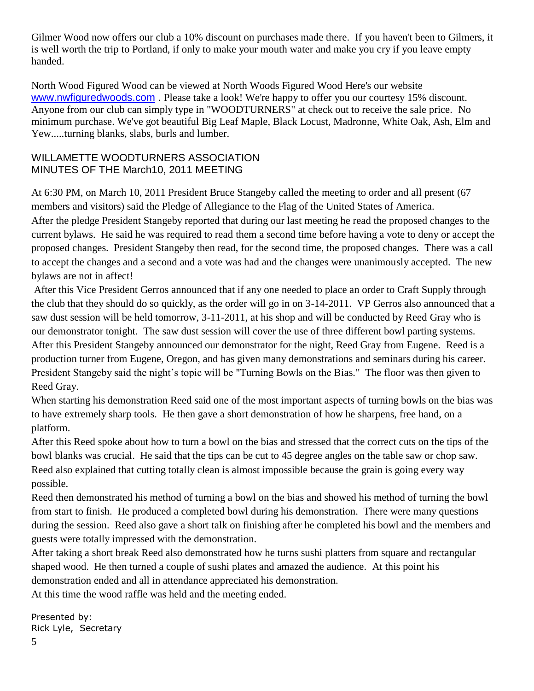Gilmer Wood now offers our club a 10% discount on purchases made there. If you haven't been to Gilmers, it is well worth the trip to Portland, if only to make your mouth water and make you cry if you leave empty handed.

North Wood Figured Wood can be viewed at North Woods Figured Wood Here's our website [www.nwfiguredwoods.com](http://www.nwfiguredwoods.com/). Please take a look! We're happy to offer you our courtesy 15% discount. Anyone from our club can simply type in "WOODTURNERS" at check out to receive the sale price. No minimum purchase. We've got beautiful Big Leaf Maple, Black Locust, Madronne, White Oak, Ash, Elm and Yew.....turning blanks, slabs, burls and lumber.

### WILLAMETTE WOODTURNERS ASSOCIATION MINUTES OF THE March10, 2011 MEETING

At 6:30 PM, on March 10, 2011 President Bruce Stangeby called the meeting to order and all present (67 members and visitors) said the Pledge of Allegiance to the Flag of the United States of America. After the pledge President Stangeby reported that during our last meeting he read the proposed changes to the current bylaws. He said he was required to read them a second time before having a vote to deny or accept the proposed changes. President Stangeby then read, for the second time, the proposed changes. There was a call to accept the changes and a second and a vote was had and the changes were unanimously accepted. The new bylaws are not in affect!

After this Vice President Gerros announced that if any one needed to place an order to Craft Supply through the club that they should do so quickly, as the order will go in on 3-14-2011. VP Gerros also announced that a saw dust session will be held tomorrow, 3-11-2011, at his shop and will be conducted by Reed Gray who is our demonstrator tonight. The saw dust session will cover the use of three different bowl parting systems. After this President Stangeby announced our demonstrator for the night, Reed Gray from Eugene. Reed is a production turner from Eugene, Oregon, and has given many demonstrations and seminars during his career. President Stangeby said the night's topic will be "Turning Bowls on the Bias." The floor was then given to Reed Gray.

When starting his demonstration Reed said one of the most important aspects of turning bowls on the bias was to have extremely sharp tools. He then gave a short demonstration of how he sharpens, free hand, on a platform.

After this Reed spoke about how to turn a bowl on the bias and stressed that the correct cuts on the tips of the bowl blanks was crucial. He said that the tips can be cut to 45 degree angles on the table saw or chop saw. Reed also explained that cutting totally clean is almost impossible because the grain is going every way possible.

Reed then demonstrated his method of turning a bowl on the bias and showed his method of turning the bowl from start to finish. He produced a completed bowl during his demonstration. There were many questions during the session. Reed also gave a short talk on finishing after he completed his bowl and the members and guests were totally impressed with the demonstration.

After taking a short break Reed also demonstrated how he turns sushi platters from square and rectangular shaped wood. He then turned a couple of sushi plates and amazed the audience. At this point his demonstration ended and all in attendance appreciated his demonstration.

At this time the wood raffle was held and the meeting ended.

Presented by: Rick Lyle, Secretary